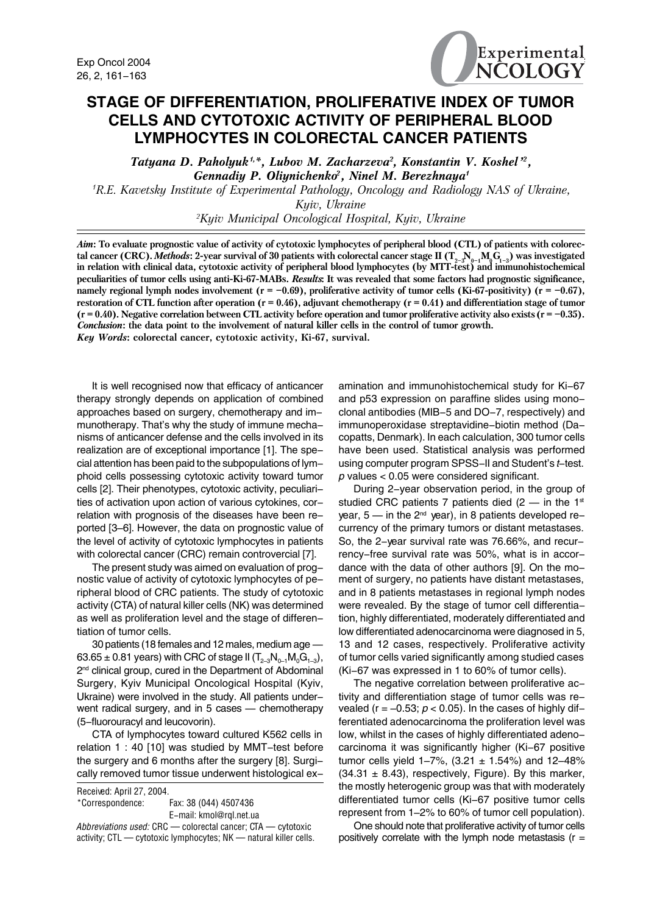

## **STAGE OF DIFFERENTIATION, PROLIFERATIVE INDEX OF TUMOR CELLS AND CYTOTOXIC ACTIVITY OF PERIPHERAL BLOOD LYMPHOCYTES IN COLORECTAL CANCER PATIENTS**

Tatyana D. Paholyuk<sup>1,\*</sup>, Lubov M. Zacharzeva<sup>2</sup>, Konstantin V. Koshel<sup>12</sup>, *Gennadiy P. Oliynichenko2 , Ninel M. Berezhnaya1*

*1 R.E. Kavetsky Institute of Experimental Pathology, Oncology and Radiology NAS of Ukraine, Kyiv, Ukraine*

*2 Kyiv Municipal Oncological Hospital, Kyiv, Ukraine*

*Aim***: To evaluate prognostic value of activity of cytotoxic lymphocytes of peripheral blood (CTL) of patients with colorec**tal cancer (CRC). *Methods*: 2-year survival of 30 patients with colorectal cancer stage II ( $T_{2-3}N_{0-1}M_0G_{1-3}$ ) was investigated in relation with clinical data, cytotoxic activity of peripheral blood lymphocytes (by MTT-test) and immunohistochemical **peculiarities of tumor cells using anti-Ki-67-MABs.** *Results***: It was revealed that some factors had prognostic significance,** namely regional lymph nodes involvement  $(r = -0.69)$ , proliferative activity of tumor cells (Ki-67-positivity)  $(r = -0.67)$ , **restoration of CTL function after operation (r = 0.46), adjuvant chemotherapy (r = 0.41) and differentiation stage of tumor**  $(r = 0.40)$ . Negative correlation between CTL activity before operation and tumor proliferative activity also exists  $(r = -0.35)$ . *Conclusion***: the data point to the involvement of natural killer cells in the control of tumor growth.**

*Key Words***: colorectal cancer, cytotoxic activity, Êi-67, survival.**

It is well recognised now that efficacy of anticancer therapy strongly depends on application of combined approaches based on surgery, chemotherapy and immunotherapy. That's why the study of immune mechanisms of anticancer defense and the cells involved in its realization are of exceptional importance [1]. The special attention has been paid to the subpopulations of lymphoid cells possessing cytotoxic activity toward tumor cells [2]. Their phenotypes, cytotoxic activity, peculiarities of activation upon action of various cytokines, correlation with prognosis of the diseases have been reported [3–6]. However, the data on prognostic value of the level of activity of cytotoxic lymphocytes in patients with colorectal cancer (CRC) remain controvercial [7].

The present study was aimed on evaluation of prognostic value of activity of cytotoxic lymphocytes of peripheral blood of CRC patients. The study of cytotoxic activity (CTA) of natural killer cells (NK) was determined as well as proliferation level and the stage of differentiation of tumor cells.

30 patients (18 females and 12 males, medium age — 63.65 ± 0.81 years) with CRC of stage II ( $T_{2-3}N_{0-1}M_0G_{1-3}$ ), 2<sup>nd</sup> clinical group, cured in the Department of Abdominal Surgery, Kyiv Municipal Oncological Hospital (Kyiv, Ukraine) were involved in the study. All patients underwent radical surgery, and in 5 cases — chemotherapy (5-fluorouracyl and leucovorin).

CTA of lymphocytes toward cultured K562 cells in relation 1 : 40 [10] was studied by MMT-test before the surgery and 6 months after the surgery [8]. Surgically removed tumor tissue underwent histological ex-

| Received: April 27, 2004. |                                                                   |
|---------------------------|-------------------------------------------------------------------|
| *Correspondence:          | Fax: 38 (044) 4507436                                             |
|                           | E-mail: kmol@rgl.net.ua                                           |
|                           | Abbreviations used: CRC — colorectal cancer: CTA — cytotoxic      |
|                           | activity; CTL - cytotoxic lymphocytes; NK - natural killer cells. |

amination and immunohistochemical study for Ki-67 and p53 expression on paraffine slides using monoclonal antibodies (MIB-5 and DO-7, respectively) and immunoperoxidase streptavidine-biotin method (Dacopatts, Denmark). In each calculation, 300 tumor cells have been used. Statistical analysis was performed using computer program SPSS-II and Student's *t*-test. *p* values < 0.05 were considered significant.

During 2-year observation period, in the group of studied CRC patients 7 patients died  $(2 - in)$  the 1st year,  $5 - in$  the  $2<sup>nd</sup>$  year), in 8 patients developed recurrency of the primary tumors or distant metastases. So, the 2-year survival rate was 76.66%, and recurrency-free survival rate was 50%, what is in accordance with the data of other authors [9]. On the moment of surgery, no patients have distant metastases, and in 8 patients metastases in regional lymph nodes were revealed. By the stage of tumor cell differentiation, highly differentiated, moderately differentiated and low differentiated adenocarcinoma were diagnosed in 5, 13 and 12 cases, respectively. Proliferative activity of tumor cells varied significantly among studied cases (Ki-67 was expressed in 1 to 60% of tumor cells).

The negative correlation between proliferative activity and differentiation stage of tumor cells was revealed ( $r = -0.53$ ;  $p < 0.05$ ). In the cases of highly differentiated adenocarcinoma the proliferation level was low, whilst in the cases of highly differentiated adenocarcinoma it was significantly higher (Ki-67 positive tumor cells yield 1–7%,  $(3.21 \pm 1.54%)$  and 12–48%  $(34.31 \pm 8.43)$ , respectively, Figure). By this marker, the mostly heterogenic group was that with moderately differentiated tumor cells (Ki-67 positive tumor cells represent from 1–2% to 60% of tumor cell population).

One should note that proliferative activity of tumor cells positively correlate with the lymph node metastasis ( $r =$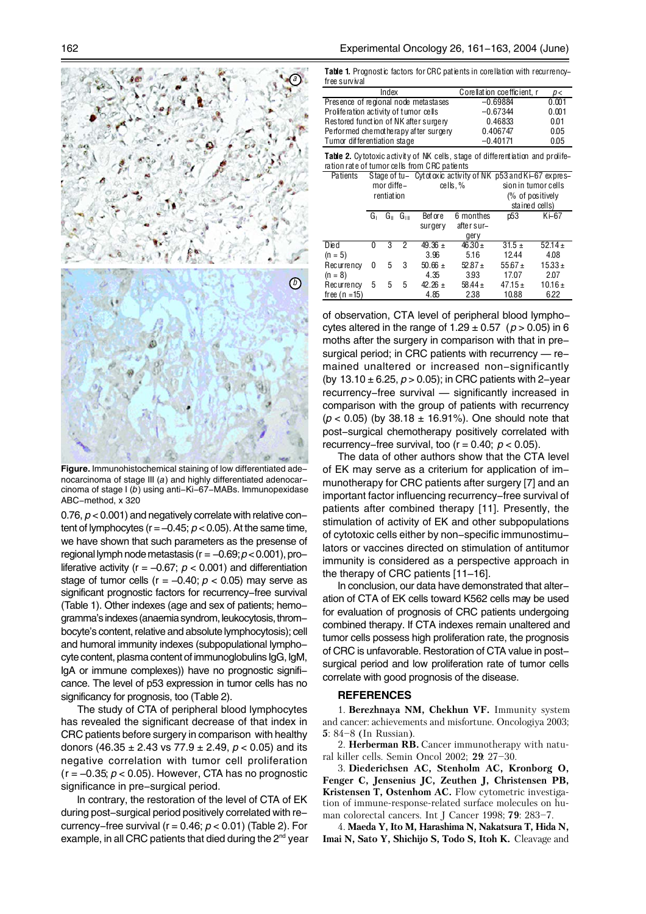

**Figure.** Immunohistochemical staining of low differentiated adenocarcinoma of stage III (*a*) and highly differentiated adenocarcinoma of stage I (*b*) using anti-Ki-67-MABs. Immunopexidase ABC-method, x 320

0.76, *p* < 0.001) and negatively correlate with relative content of lymphocytes ( $r = -0.45$ ;  $p < 0.05$ ). At the same time, we have shown that such parameters as the presense of regional lymph node metastasis (r = –0.69; *p* < 0.001), proliferative activity ( $r = -0.67$ ;  $p < 0.001$ ) and differentiation stage of tumor cells ( $r = -0.40$ ;  $p < 0.05$ ) may serve as significant prognostic factors for recurrency-free survival (Table 1). Other indexes (age and sex of patients; hemogramma's indexes (anaemia syndrom, leukocytosis, thrombocyte's content, relative and absolute lymphocytosis); cell and humoral immunity indexes (subpopulational lymphocyte content, plasma content of immunoglobulins IgG, IgM, IgA or immune complexes)) have no prognostic significance. The level of p53 expression in tumor cells has no significancy for prognosis, too (Table 2).

The study of CTA of peripheral blood lymphocytes has revealed the significant decrease of that index in CRC patients before surgery in comparison with healthy donors (46.35 ± 2.43 vs 77.9 ± 2.49, *p* < 0.05) and its negative correlation with tumor cell proliferation  $(r = -0.35; p < 0.05)$ . However, CTA has no prognostic significance in pre-surgical period.

In contrary, the restoration of the level of CTA of EK during post-surgical period positively correlated with recurrency-free survival (r = 0.46; *p* < 0.01) (Table 2). For example, in all CRC patients that died during the  $2^{nd}$  year

Table 1. Prognostic factors for CRC patients in corellation with recurrencyfree survival

| Index                                 | Corellation coefficient, r | D<    |
|---------------------------------------|----------------------------|-------|
| Presence of regional node metastases  | $-0.69884$                 | 0.001 |
| Proliferation activity of tumor cells | $-0.67344$                 | 0.001 |
| Restored function of NK after surgery | 0.46833                    | 0.01  |
| Performed chemotherapy after surgery  | 0.406747                   | 0.05  |
| Tumor differentiation stage           | $-0.40171$                 | 0.05  |
|                                       |                            |       |

Table 2. Cytotoxic activity of NK cells, stage of differentiation and proliferation rate of tumor cells from CRC patients

| Patients     | mor diffe-<br>rentiation |    | Stage of tu- Cytotoxic activity of NK p53 and Ki-67 expres-<br>cells,% |                     | sion in tumor cells<br>(% of positively<br>stained cells) |             |             |
|--------------|--------------------------|----|------------------------------------------------------------------------|---------------------|-----------------------------------------------------------|-------------|-------------|
|              | Gı                       | G⊪ | Gım                                                                    | Bef or e<br>surgery | 6 monthes<br>after sur-                                   | p53         | Ki-67       |
|              |                          |    |                                                                        |                     | gery                                                      |             |             |
| Died         | 0                        |    | 2                                                                      | $49.36 \pm$         | $46.30 \pm$                                               | $31.5 \pm$  | $52.14 \pm$ |
| $(n = 5)$    |                          |    |                                                                        | 3.96                | 5.16                                                      | 12.44       | 4.08        |
| Recurrency   | 0                        | 5  | 3                                                                      | $50.66 \pm$         | $52.87 +$                                                 | $55.67 +$   | $15.33 \pm$ |
| $(n = 8)$    |                          |    |                                                                        | 4.35                | 3.93                                                      | 17.07       | 2.07        |
| Recurrency   | 5                        | 5  | 5                                                                      | $42.26 \pm$         | $58.44 \pm$                                               | $47.15 \pm$ | $10.16 \pm$ |
| free (n =15) |                          |    |                                                                        | 4.85                | 2.38                                                      | 10.88       | 622         |

of observation, CTA level of peripheral blood lymphocytes altered in the range of  $1.29 \pm 0.57$  ( $p > 0.05$ ) in 6 moths after the surgery in comparison with that in presurgical period; in CRC patients with recurrency — remained unaltered or increased non-significantly (by  $13.10 \pm 6.25$ ,  $p > 0.05$ ); in CRC patients with 2-year recurrency-free survival — significantly increased in comparison with the group of patients with recurrency  $(p < 0.05)$  (by 38.18  $\pm$  16.91%). One should note that post-surgical chemotherapy positively correlated with recurrency–free survival, too  $(r = 0.40; p < 0.05)$ .

The data of other authors show that the CTA level of EK may serve as a criterium for application of immunotherapy for CRC patients after surgery [7] and an important factor influencing recurrency-free survival of patients after combined therapy [11]. Presently, the stimulation of activity of EK and other subpopulations of cytotoxic cells either by non-specific immunostimulators or vaccines directed on stimulation of antitumor immunity is considered as a perspective approach in the therapy of CRC patients [11–16].

In conclusion, our data have demonstrated that alteration of CTA of EK cells toward K562 cells may be used for evaluation of prognosis of CRC patients undergoing combined therapy. If CTA indexes remain unaltered and tumor cells possess high proliferation rate, the prognosis of CRC is unfavorable. Restoration of CTA value in postsurgical period and low proliferation rate of tumor cells correlate with good prognosis of the disease.

## **REFERENCES**

1. **Berezhnaya NM, Chekhun VF.** Immunity system and cancer: achievements and misfortune. Oncologiya 2003; **5**: 84–8 (In Russian).

2. **Herberman RB.** Cancer immunotherapy with natural killer cells. Semin Oncol 2002; **29**: 27–30.

3. **Diederichsen AC, Stenholm AC, Kronborg O, Fenger C, Jensenius JC, Zeuthen J, Christensen PB, Kristensen T, Ostenhom AC.** Flow cytometric investigation of immune-response-related surface molecules on human colorectal cancers. Int J Cancer 1998; **79**: 283–7.

4. **Maeda Y, Ito M, Harashima N, Nakatsura T, Hida N, Imai N, Sato Y, Shichijo S, Todo S, Itoh K.** Cleavage and